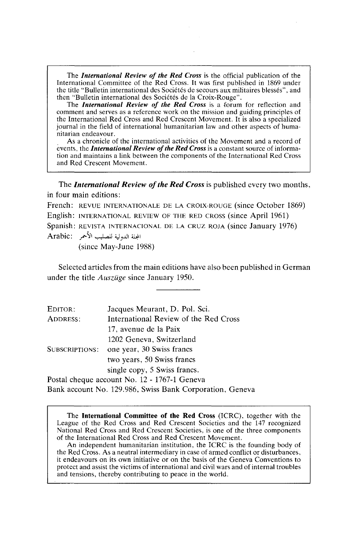The *International Review of the Red Cross* is the official publication of the International Committee of the Red Cross. It was first published in 1869 under the title "Bulletin international des Sociétés de secours aux mi

The *International Review of the Red Cross* is a forum for reflection and comment and serves as a reference work on the mission and guiding principles of the International Red Cross and Red Crescent Movement. It is also a specialized journal in the field of international humanitarian law and other aspects of huma- nitarian endeavour.

As a chronicle of the international activities of the Movement and a record of events, the **International Review of the Red Cross** is a constant source of information and maintains a link between the components of the International Red Cross and Red Crescent Movement.

The *International Review of the Red Cross* is published every two months, in four main editions:

French: REVUE INTERNATIONALE DE LA CROIX-ROUGE (since October 1869) English: INTERNATIONAL REVIEW OF THE RED CROSS (since April 1961) Spanish: REVISTA INTERNACIONAL DE LA CRUZ ROJA (since January 1976) Arabic: المجلة الدولية للصليب الأحمر

(since May-June 1988)

Selected articles from the main editions have also been published in German under the title *Auszilge* since January 1950.

| EDITOR:                                      | Jacques Meurant, D. Pol. Sci.         |
|----------------------------------------------|---------------------------------------|
| ADDRESS:                                     | International Review of the Red Cross |
|                                              | 17, avenue de la Paix                 |
|                                              | 1202 Geneva, Switzerland              |
| <b>SUBSCRIPTIONS:</b>                        | one year, 30 Swiss francs             |
|                                              | two years, 50 Swiss francs            |
|                                              | single copy, 5 Swiss francs.          |
| Postal cheque account No. 12 - 1767-1 Geneva |                                       |

Bank account No. 129.986, Swiss Bank Corporation, Geneva

The **International Committee of the Red Cross** (ICRC), together with the League of the Red Cross and Red Crescent Societies and the 147 recognized National Red Cross and Red Crescent Societies, is one of the three components of the International Red Cross and Red Crescent Movement. An independent humanitarian institution, the ICRC is the founding body of

the Red Cross. As a neutral intermediary in case of armed conflict or disturbances, it endeavours on its own initiative or on the basis of the Geneva Conventions to protect and assist the victims of international and civil